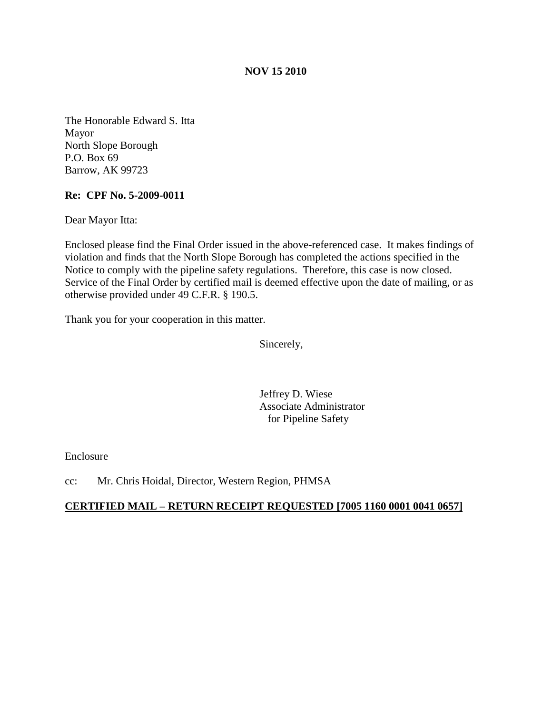## **NOV 15 2010**

The Honorable Edward S. Itta Mayor North Slope Borough P.O. Box 69 Barrow, AK 99723

## **Re: CPF No. 5-2009-0011**

Dear Mayor Itta:

Enclosed please find the Final Order issued in the above-referenced case. It makes findings of violation and finds that the North Slope Borough has completed the actions specified in the Notice to comply with the pipeline safety regulations. Therefore, this case is now closed. Service of the Final Order by certified mail is deemed effective upon the date of mailing, or as otherwise provided under 49 C.F.R. § 190.5.

Thank you for your cooperation in this matter.

Sincerely,

Jeffrey D. Wiese Associate Administrator for Pipeline Safety

Enclosure

cc: Mr. Chris Hoidal, Director, Western Region, PHMSA

## **CERTIFIED MAIL – RETURN RECEIPT REQUESTED [7005 1160 0001 0041 0657]**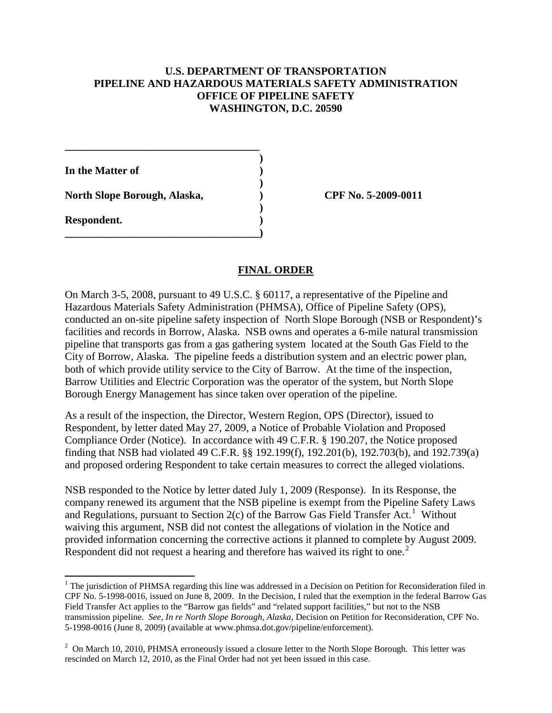## **U.S. DEPARTMENT OF TRANSPORTATION PIPELINE AND HAZARDOUS MATERIALS SAFETY ADMINISTRATION OFFICE OF PIPELINE SAFETY WASHINGTON, D.C. 20590**

**)**

**)**

**)**

**In the Matter of ) North Slope Borough, Alaska, ) CPF No. 5-2009-0011 Respondent. )**

**\_\_\_\_\_\_\_\_\_\_\_\_\_\_\_\_\_\_\_\_\_\_\_\_\_\_\_\_\_\_\_\_\_\_\_\_)**

 $\overline{\phantom{0}}$ 

**\_\_\_\_\_\_\_\_\_\_\_\_\_\_\_\_\_\_\_\_\_\_\_\_\_\_\_\_\_\_\_\_\_\_\_\_**

### **FINAL ORDER**

On March 3-5, 2008, pursuant to 49 U.S.C. § 60117, a representative of the Pipeline and Hazardous Materials Safety Administration (PHMSA), Office of Pipeline Safety (OPS), conducted an on-site pipeline safety inspection of North Slope Borough (NSB or Respondent)'s facilities and records in Borrow, Alaska. NSB owns and operates a 6-mile natural transmission pipeline that transports gas from a gas gathering system located at the South Gas Field to the City of Borrow, Alaska. The pipeline feeds a distribution system and an electric power plan, both of which provide utility service to the City of Barrow. At the time of the inspection, Barrow Utilities and Electric Corporation was the operator of the system, but North Slope Borough Energy Management has since taken over operation of the pipeline.

As a result of the inspection, the Director, Western Region, OPS (Director), issued to Respondent, by letter dated May 27, 2009, a Notice of Probable Violation and Proposed Compliance Order (Notice). In accordance with 49 C.F.R. § 190.207, the Notice proposed finding that NSB had violated 49 C.F.R. §§ 192.199(f), 192.201(b), 192.703(b), and 192.739(a) and proposed ordering Respondent to take certain measures to correct the alleged violations.

NSB responded to the Notice by letter dated July 1, 2009 (Response). In its Response, the company renewed its argument that the NSB pipeline is exempt from the Pipeline Safety Laws and Regulations, pursuant to Section  $2(c)$  of the Barrow Gas Field Transfer Act.<sup>[1](#page-1-0)</sup> Without waiving this argument, NSB did not contest the allegations of violation in the Notice and provided information concerning the corrective actions it planned to complete by August 2009. Respondent did not request a hearing and therefore has waived its right to one.<sup>[2](#page-1-1)</sup>

<span id="page-1-0"></span> $1$  The jurisdiction of PHMSA regarding this line was addressed in a Decision on Petition for Reconsideration filed in CPF No. 5-1998-0016, issued on June 8, 2009. In the Decision, I ruled that the exemption in the federal Barrow Gas Field Transfer Act applies to the "Barrow gas fields" and "related support facilities," but not to the NSB transmission pipeline. *See, In re North Slope Borough, Alaska*, Decision on Petition for Reconsideration, CPF No. 5-1998-0016 (June 8, 2009) (available at www.phmsa.dot.gov/pipeline/enforcement).

<span id="page-1-1"></span> $2$  On March 10, 2010, PHMSA erroneously issued a closure letter to the North Slope Borough. This letter was rescinded on March 12, 2010, as the Final Order had not yet been issued in this case.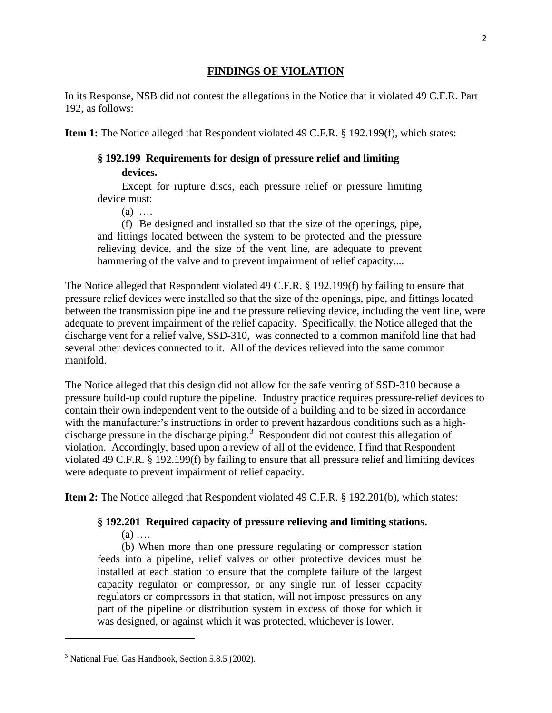## **FINDINGS OF VIOLATION**

In its Response, NSB did not contest the allegations in the Notice that it violated 49 C.F.R. Part 192, as follows:

**Item 1:** The Notice alleged that Respondent violated 49 C.F.R. § 192.199(f), which states:

# **§ 192.199 Requirements for design of pressure relief and limiting devices.**

Except for rupture discs, each pressure relief or pressure limiting device must:

 $(a)$  …

(f) Be designed and installed so that the size of the openings, pipe, and fittings located between the system to be protected and the pressure relieving device, and the size of the vent line, are adequate to prevent hammering of the valve and to prevent impairment of relief capacity....

The Notice alleged that Respondent violated 49 C.F.R. § 192.199(f) by failing to ensure that pressure relief devices were installed so that the size of the openings, pipe, and fittings located between the transmission pipeline and the pressure relieving device, including the vent line, were adequate to prevent impairment of the relief capacity. Specifically, the Notice alleged that the discharge vent for a relief valve, SSD-310, was connected to a common manifold line that had several other devices connected to it. All of the devices relieved into the same common manifold.

The Notice alleged that this design did not allow for the safe venting of SSD-310 because a pressure build-up could rupture the pipeline. Industry practice requires pressure-relief devices to contain their own independent vent to the outside of a building and to be sized in accordance with the manufacturer's instructions in order to prevent hazardous conditions such as a high-discharge pressure in the discharge piping.<sup>[3](#page-2-0)</sup> Respondent did not contest this allegation of violation. Accordingly, based upon a review of all of the evidence, I find that Respondent violated 49 C.F.R. § 192.199(f) by failing to ensure that all pressure relief and limiting devices were adequate to prevent impairment of relief capacity.

**Item 2:** The Notice alleged that Respondent violated 49 C.F.R. § 192.201(b), which states:

# **§ 192.201 Required capacity of pressure relieving and limiting stations.**

 $(a)$  ....

ı

(b) When more than one pressure regulating or compressor station feeds into a pipeline, relief valves or other protective devices must be installed at each station to ensure that the complete failure of the largest capacity regulator or compressor, or any single run of lesser capacity regulators or compressors in that station, will not impose pressures on any part of the pipeline or distribution system in excess of those for which it was designed, or against which it was protected, whichever is lower.

<span id="page-2-0"></span><sup>&</sup>lt;sup>3</sup> National Fuel Gas Handbook, Section 5.8.5 (2002).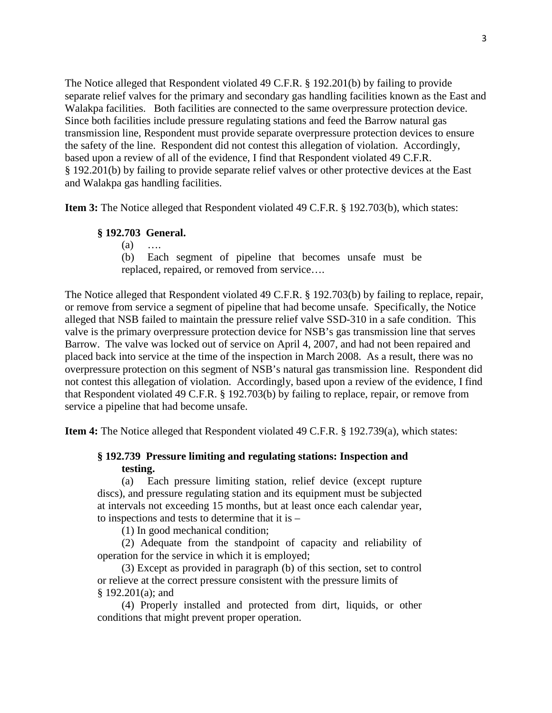The Notice alleged that Respondent violated 49 C.F.R. § 192.201(b) by failing to provide separate relief valves for the primary and secondary gas handling facilities known as the East and Walakpa facilities. Both facilities are connected to the same overpressure protection device. Since both facilities include pressure regulating stations and feed the Barrow natural gas transmission line, Respondent must provide separate overpressure protection devices to ensure the safety of the line. Respondent did not contest this allegation of violation. Accordingly, based upon a review of all of the evidence, I find that Respondent violated 49 C.F.R. § 192.201(b) by failing to provide separate relief valves or other protective devices at the East and Walakpa gas handling facilities.

**Item 3:** The Notice alleged that Respondent violated 49 C.F.R. § 192.703(b), which states:

#### **§ 192.703 General.**

(a) ….

(b) Each segment of pipeline that becomes unsafe must be replaced, repaired, or removed from service….

The Notice alleged that Respondent violated 49 C.F.R. § 192.703(b) by failing to replace, repair, or remove from service a segment of pipeline that had become unsafe. Specifically, the Notice alleged that NSB failed to maintain the pressure relief valve SSD-310 in a safe condition. This valve is the primary overpressure protection device for NSB's gas transmission line that serves Barrow. The valve was locked out of service on April 4, 2007, and had not been repaired and placed back into service at the time of the inspection in March 2008. As a result, there was no overpressure protection on this segment of NSB's natural gas transmission line. Respondent did not contest this allegation of violation. Accordingly, based upon a review of the evidence, I find that Respondent violated 49 C.F.R. § 192.703(b) by failing to replace, repair, or remove from service a pipeline that had become unsafe.

**Item 4:** The Notice alleged that Respondent violated 49 C.F.R. § 192.739(a), which states:

## **§ 192.739 Pressure limiting and regulating stations: Inspection and testing.**

(a) Each pressure limiting station, relief device (except rupture discs), and pressure regulating station and its equipment must be subjected at intervals not exceeding 15 months, but at least once each calendar year, to inspections and tests to determine that it is –

(1) In good mechanical condition;

(2) Adequate from the standpoint of capacity and reliability of operation for the service in which it is employed;

(3) Except as provided in paragraph (b) of this section, set to control or relieve at the correct pressure consistent with the pressure limits of § 192.201(a); and

(4) Properly installed and protected from dirt, liquids, or other conditions that might prevent proper operation.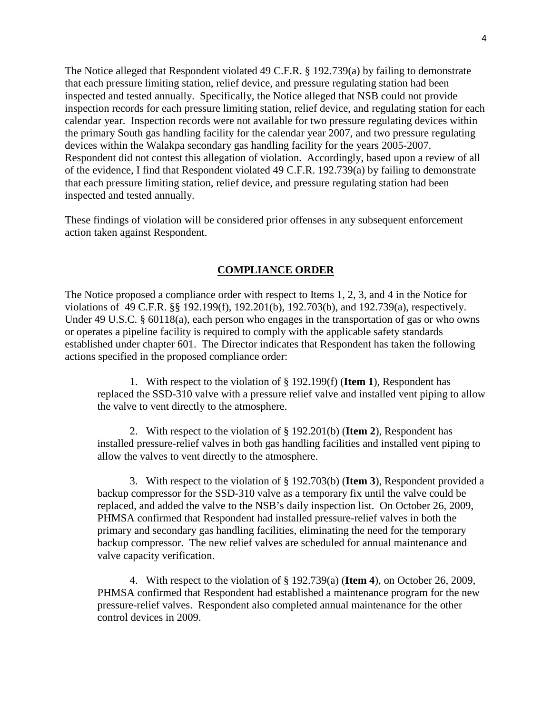The Notice alleged that Respondent violated 49 C.F.R. § 192.739(a) by failing to demonstrate that each pressure limiting station, relief device, and pressure regulating station had been inspected and tested annually. Specifically, the Notice alleged that NSB could not provide inspection records for each pressure limiting station, relief device, and regulating station for each calendar year. Inspection records were not available for two pressure regulating devices within the primary South gas handling facility for the calendar year 2007, and two pressure regulating devices within the Walakpa secondary gas handling facility for the years 2005-2007. Respondent did not contest this allegation of violation. Accordingly, based upon a review of all of the evidence, I find that Respondent violated 49 C.F.R. 192.739(a) by failing to demonstrate that each pressure limiting station, relief device, and pressure regulating station had been inspected and tested annually.

These findings of violation will be considered prior offenses in any subsequent enforcement action taken against Respondent.

### **COMPLIANCE ORDER**

The Notice proposed a compliance order with respect to Items 1, 2, 3, and 4 in the Notice for violations of 49 C.F.R. §§ 192.199(f), 192.201(b), 192.703(b), and 192.739(a), respectively. Under 49 U.S.C. § 60118(a), each person who engages in the transportation of gas or who owns or operates a pipeline facility is required to comply with the applicable safety standards established under chapter 601. The Director indicates that Respondent has taken the following actions specified in the proposed compliance order:

1. With respect to the violation of § 192.199(f) (**Item 1**), Respondent has replaced the SSD-310 valve with a pressure relief valve and installed vent piping to allow the valve to vent directly to the atmosphere.

2. With respect to the violation of § 192.201(b) (**Item 2**), Respondent has installed pressure-relief valves in both gas handling facilities and installed vent piping to allow the valves to vent directly to the atmosphere.

3. With respect to the violation of § 192.703(b) (**Item 3**), Respondent provided a backup compressor for the SSD-310 valve as a temporary fix until the valve could be replaced, and added the valve to the NSB's daily inspection list. On October 26, 2009, PHMSA confirmed that Respondent had installed pressure-relief valves in both the primary and secondary gas handling facilities, eliminating the need for the temporary backup compressor. The new relief valves are scheduled for annual maintenance and valve capacity verification.

4. With respect to the violation of § 192.739(a) (**Item 4**), on October 26, 2009, PHMSA confirmed that Respondent had established a maintenance program for the new pressure-relief valves. Respondent also completed annual maintenance for the other control devices in 2009.